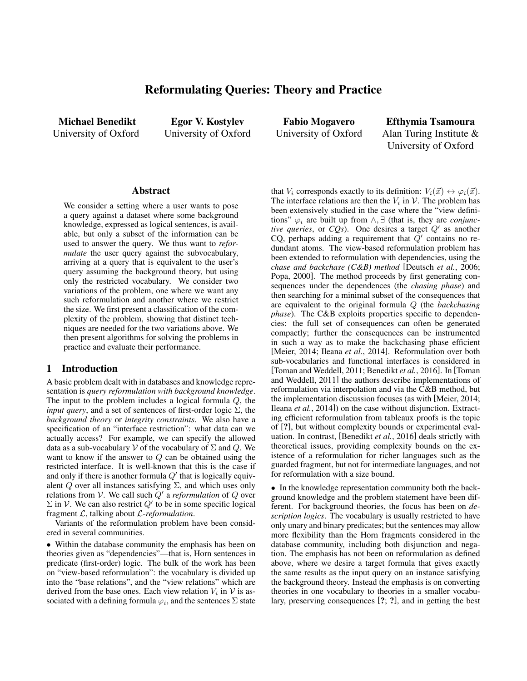# Reformulating Queries: Theory and Practice

Michael Benedikt University of Oxford

Egor V. Kostylev University of Oxford

Fabio Mogavero University of Oxford

Efthymia Tsamoura Alan Turing Institute & University of Oxford

### Abstract

We consider a setting where a user wants to pose a query against a dataset where some background knowledge, expressed as logical sentences, is available, but only a subset of the information can be used to answer the query. We thus want to *reformulate* the user query against the subvocabulary, arriving at a query that is equivalent to the user's query assuming the background theory, but using only the restricted vocabulary. We consider two variations of the problem, one where we want any such reformulation and another where we restrict the size. We first present a classification of the complexity of the problem, showing that distinct techniques are needed for the two variations above. We then present algorithms for solving the problems in practice and evaluate their performance.

## 1 Introduction

A basic problem dealt with in databases and knowledge representation is *query reformulation with background knowledge*. The input to the problem includes a logical formula Q, the *input query*, and a set of sentences of first-order logic  $\Sigma$ , the *background theory* or *integrity constraints*. We also have a specification of an "interface restriction": what data can we actually access? For example, we can specify the allowed data as a sub-vocabulary V of the vocabulary of  $\Sigma$  and  $Q$ . We want to know if the answer to  $Q$  can be obtained using the restricted interface. It is well-known that this is the case if and only if there is another formula  $Q'$  that is logically equivalent Q over all instances satisfying  $\Sigma$ , and which uses only relations from V. We call such  $Q'$  a *reformulation* of  $Q$  over  $\Sigma$  in V. We can also restrict  $Q'$  to be in some specific logical fragment L, talking about L-*reformulation*.

Variants of the reformulation problem have been considered in several communities.

• Within the database community the emphasis has been on theories given as "dependencies"—that is, Horn sentences in predicate (first-order) logic. The bulk of the work has been on "view-based reformulation": the vocabulary is divided up into the "base relations", and the "view relations" which are derived from the base ones. Each view relation  $V_i$  in  $\mathcal V$  is associated with a defining formula  $\varphi_i$ , and the sentences  $\Sigma$  state that  $V_i$  corresponds exactly to its definition:  $V_i(\vec{x}) \leftrightarrow \varphi_i(\vec{x})$ . The interface relations are then the  $V_i$  in  $\mathcal V$ . The problem has been extensively studied in the case where the "view definitions"  $\varphi_i$  are built up from  $\wedge$ ,  $\exists$  (that is, they are *conjunctive queries*, or  $CQs$ ). One desires a target  $Q'$  as another CQ, perhaps adding a requirement that  $Q'$  contains no redundant atoms. The view-based reformulation problem has been extended to reformulation with dependencies, using the *chase and backchase (C&B) method* [Deutsch *et al.*, 2006; Popa, 2000]. The method proceeds by first generating consequences under the dependences (the *chasing phase*) and then searching for a minimal subset of the consequences that are equivalent to the original formula Q (the *backchasing phase*). The C&B exploits properties specific to dependencies: the full set of consequences can often be generated compactly; further the consequences can be instrumented in such a way as to make the backchasing phase efficient [Meier, 2014; Ileana *et al.*, 2014]. Reformulation over both sub-vocabularies and functional interfaces is considered in [Toman and Weddell, 2011; Benedikt *et al.*, 2016]. In [Toman and Weddell, 2011] the authors describe implementations of reformulation via interpolation and via the C&B method, but the implementation discussion focuses (as with [Meier, 2014; Ileana *et al.*, 2014]) on the case without disjunction. Extracting efficient reformulation from tableaux proofs is the topic of [?], but without complexity bounds or experimental evaluation. In contrast, [Benedikt *et al.*, 2016] deals strictly with theoretical issues, providing complexity bounds on the existence of a reformulation for richer languages such as the guarded fragment, but not for intermediate languages, and not for reformulation with a size bound.

• In the knowledge representation community both the background knowledge and the problem statement have been different. For background theories, the focus has been on *description logics*. The vocabulary is usually restricted to have only unary and binary predicates; but the sentences may allow more flexibility than the Horn fragments considered in the database community, including both disjunction and negation. The emphasis has not been on reformulation as defined above, where we desire a target formula that gives exactly the same results as the input query on an instance satisfying the background theory. Instead the emphasis is on converting theories in one vocabulary to theories in a smaller vocabulary, preserving consequences [?; ?], and in getting the best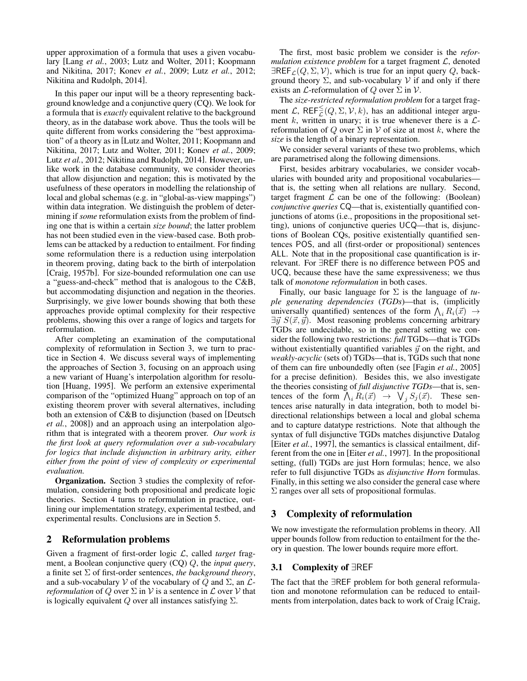upper approximation of a formula that uses a given vocabulary [Lang *et al.*, 2003; Lutz and Wolter, 2011; Koopmann and Nikitina, 2017; Konev *et al.*, 2009; Lutz *et al.*, 2012; Nikitina and Rudolph, 2014].

In this paper our input will be a theory representing background knowledge and a conjunctive query (CQ). We look for a formula that is *exactly* equivalent relative to the background theory, as in the database work above. Thus the tools will be quite different from works considering the "best approximation" of a theory as in [Lutz and Wolter, 2011; Koopmann and Nikitina, 2017; Lutz and Wolter, 2011; Konev *et al.*, 2009; Lutz et al., 2012; Nikitina and Rudolph, 2014]. However, unlike work in the database community, we consider theories that allow disjunction and negation; this is motivated by the usefulness of these operators in modelling the relationship of local and global schemas (e.g. in "global-as-view mappings") within data integration. We distinguish the problem of determining if *some* reformulation exists from the problem of finding one that is within a certain *size bound*; the latter problem has not been studied even in the view-based case. Both problems can be attacked by a reduction to entailment. For finding some reformulation there is a reduction using interpolation in theorem proving, dating back to the birth of interpolation [Craig, 1957b]. For size-bounded reformulation one can use a "guess-and-check" method that is analogous to the C&B, but accommodating disjunction and negation in the theories. Surprisingly, we give lower bounds showing that both these approaches provide optimal complexity for their respective problems, showing this over a range of logics and targets for reformulation.

After completing an examination of the computational complexity of reformulation in Section 3, we turn to practice in Section 4. We discuss several ways of implementing the approaches of Section 3, focusing on an approach using a new variant of Huang's interpolation algorithm for resolution [Huang, 1995]. We perform an extensive experimental comparison of the "optimized Huang" approach on top of an existing theorem prover with several alternatives, including both an extension of C&B to disjunction (based on [Deutsch *et al.*, 2008]) and an approach using an interpolation algorithm that is integrated with a theorem prover. *Our work is the first look at query reformulation over a sub-vocabulary for logics that include disjunction in arbitrary arity, either either from the point of view of complexity or experimental evaluation.*

Organization. Section 3 studies the complexity of reformulation, considering both propositional and predicate logic theories. Section 4 turns to reformulation in practice, outlining our implementation strategy, experimental testbed, and experimental results. Conclusions are in Section 5.

# 2 Reformulation problems

Given a fragment of first-order logic L, called *target* fragment, a Boolean conjunctive query (CQ) Q, the *input query*, a finite set Σ of first-order sentences, *the background theory*, and a sub-vocabulary V of the vocabulary of Q and  $\Sigma$ , an  $\mathcal{L}$ *reformulation* of Q over  $\Sigma$  in V is a sentence in  $\mathcal L$  over V that is logically equivalent  $Q$  over all instances satisfying  $\Sigma$ .

The first, most basic problem we consider is the *reformulation existence problem* for a target fragment L, denoted  $\exists$ REF<sub>L</sub>(Q,  $\Sigma$ , V), which is true for an input query Q, background theory  $\Sigma$ , and sub-vocabulary  $V$  if and only if there exists an  $\mathcal L$ -reformulation of  $Q$  over  $\Sigma$  in  $\mathcal V$ .

The *size-restricted reformulation problem* for a target fragment  $\mathcal{L}$ , REF $\leq^{\leq}(Q, \Sigma, \mathcal{V}, k)$ , has an additional integer argument k, written in unary; it is true whenever there is a  $\mathcal{L}$ reformulation of Q over  $\Sigma$  in V of size at most k, where the *size* is the length of a binary representation.

We consider several variants of these two problems, which are parametrised along the following dimensions.

First, besides arbitrary vocabularies, we consider vocabularies with bounded arity and propositional vocabularies that is, the setting when all relations are nullary. Second, target fragment  $\mathcal L$  can be one of the following: (Boolean) *conjunctive queries* CQ—that is, existentially quantified conjunctions of atoms (i.e., propositions in the propositional setting), unions of conjunctive queries UCQ—that is, disjunctions of Boolean CQs, positive existentially quantified sentences POS, and all (first-order or propositional) sentences ALL. Note that in the propositional case quantification is irrelevant. For ∃REF there is no difference between POS and UCQ, because these have the same expressiveness; we thus talk of *monotone reformulation* in both cases.

Finally, our basic language for Σ is the language of *tuple generating dependencies* (*TGDs*)—that is, (implicitly universally quantified) sentences of the form  $\bigwedge_i R_i(\vec{x}) \rightarrow$  $\exists \vec{y} S(\vec{x}, \vec{y})$ . Most reasoning problems concerning arbitrary TGDs are undecidable, so in the general setting we consider the following two restrictions: *full* TGDs—that is TGDs without existentially quantified variables  $\vec{y}$  on the right, and *weakly-acyclic* (sets of) TGDs—that is, TGDs such that none of them can fire unboundedly often (see [Fagin *et al.*, 2005] for a precise definition). Besides this, we also investigate the theories consisting of *full disjunctive TGDs*—that is, sentences of the form  $\bigwedge_i R_i(\vec{x}) \rightarrow \bigvee_j S_j(\vec{x})$ . These sentences arise naturally in data integration, both to model bidirectional relationships between a local and global schema and to capture datatype restrictions. Note that although the syntax of full disjunctive TGDs matches disjunctive Datalog [Eiter *et al.*, 1997], the semantics is classical entailment, different from the one in [Eiter *et al.*, 1997]. In the propositional setting, (full) TGDs are just Horn formulas; hence, we also refer to full disjunctive TGDs as *disjunctive Horn* formulas. Finally, in this setting we also consider the general case where Σ ranges over all sets of propositional formulas.

# 3 Complexity of reformulation

We now investigate the reformulation problems in theory. All upper bounds follow from reduction to entailment for the theory in question. The lower bounds require more effort.

# 3.1 Complexity of ∃REF

The fact that the ∃REF problem for both general reformulation and monotone reformulation can be reduced to entailments from interpolation, dates back to work of Craig [Craig,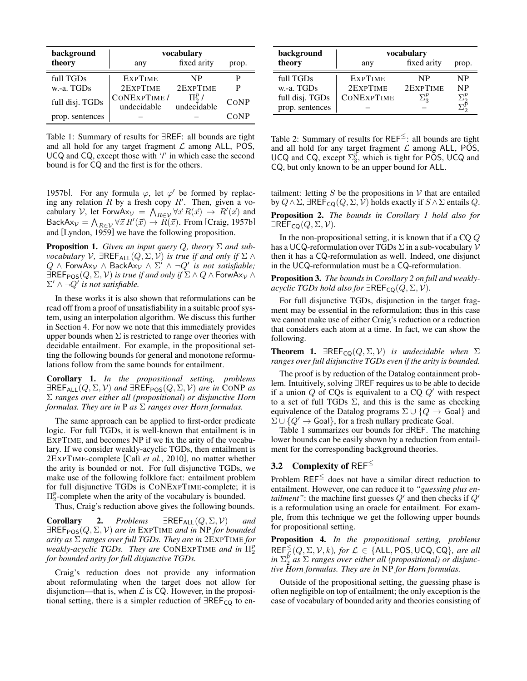| background      | vocabulary                  |                            |       |  |
|-----------------|-----------------------------|----------------------------|-------|--|
| theory          | any                         | fixed arity                | prop. |  |
| full TGDs       | <b>EXPTIME</b>              | NP                         | Р     |  |
| w.-a. TGDs      | 2EXPTIME                    | 2EXPTIME                   | P     |  |
| full disj. TGDs | CONEXPTIME /<br>undecidable | $\Pi^p_2$ /<br>undecidable | CONP  |  |
| prop. sentences |                             |                            | CONP  |  |

Table 1: Summary of results for ∃REF: all bounds are tight and all hold for any target fragment  $\mathcal L$  among ALL, POS, UCQ and CQ, except those with '/' in which case the second bound is for CQ and the first is for the others.

1957b]. For any formula  $\varphi$ , let  $\varphi'$  be formed by replacing any relation  $R$  by a fresh copy  $R'$ . Then, given a vocabulary V, let ForwA $x_v = \bigwedge_{R \in \mathcal{V}} \forall \vec{x} R(\vec{x}) \rightarrow R'(\vec{x})$  and BackAx $\psi = \bigwedge_{R \in \mathcal{V}} \forall \vec{x} \, R'(\vec{x}) \rightarrow R(\vec{x})$ . From [Craig, 1957b] and [Lyndon, 1959] we have the following proposition.

Proposition 1. *Given an input query* Q*, theory* Σ *and subvocabulary*  $V$ ,  $\exists$ REF<sub>ALL</sub> $(Q, \Sigma, V)$  *is true if and only if*  $\Sigma \wedge$  $Q \wedge \text{Forward}_\mathcal{V} \wedge \text{Back}$  $\overline{A}_{\mathcal{V}} \wedge \Sigma' \wedge \neg Q'$  *is not satisfiable*;  $\exists$ REF<sub>POS</sub>( $Q, \Sigma, V$ ) *is true if and only if*  $\Sigma \wedge Q \wedge$  ForwAx<sub>V</sub>  $\wedge$  $\Sigma' \wedge \neg Q'$  is not satisfiable.

In these works it is also shown that reformulations can be read off from a proof of unsatisfiability in a suitable proof system, using an interpolation algorithm. We discuss this further in Section 4. For now we note that this immediately provides upper bounds when  $\Sigma$  is restricted to range over theories with decidable entailment. For example, in the propositional setting the following bounds for general and monotone reformulations follow from the same bounds for entailment.

Corollary 1. *In the propositional setting, problems*  $\exists$ REF<sub>ALL</sub> $(Q, \Sigma, V)$  *and*  $\exists$ REF<sub>POS</sub> $(Q, \Sigma, V)$  *are in* CONP *as* Σ *ranges over either all (propositional) or disjunctive Horn formulas. They are in* P *as* Σ *ranges over Horn formulas.*

The same approach can be applied to first-order predicate logic. For full TGDs, it is well-known that entailment is in EXPTIME, and becomes NP if we fix the arity of the vocabulary. If we consider weakly-acyclic TGDs, then entailment is 2EXPTIME-complete [Cal`ı *et al.*, 2010], no matter whether the arity is bounded or not. For full disjunctive TGDs, we make use of the following folklore fact: entailment problem for full disjunctive TGDs is CONEXPTIME-complete; it is  $\Pi_2^p$ -complete when the arity of the vocabulary is bounded.

Thus, Craig's reduction above gives the following bounds.

**Corollary 2.** *Problems*  $\exists \text{REF}_{ALL}(Q, \Sigma, V)$  *and*  $\exists$ REF<sub>POS</sub> $(Q, \Sigma, V)$  are in EXPTIME and in NP for bounded *arity as* Σ *ranges over full TGDs. They are in* 2EXPTIME *for weakly-acyclic TGDs.* They are CONEXPTIME and in  $\Pi_2^p$ *for bounded arity for full disjunctive TGDs.*

Craig's reduction does not provide any information about reformulating when the target does not allow for disjunction—that is, when  $\mathcal L$  is CQ. However, in the propositional setting, there is a simpler reduction of  $\exists$ REF<sub>CQ</sub> to en-

| background      | vocabulary        |              |              |
|-----------------|-------------------|--------------|--------------|
| theory          | any               | fixed arity  | prop.        |
| full TGDs       | <b>EXPTIME</b>    | NP           | NP           |
| w.-a. TGDs      | 2EXPTIME          | 2EXPTIME     | <b>NP</b>    |
| full disj. TGDs | <b>CONEXPTIME</b> | $\Sigma^p_3$ | $\Sigma_2^p$ |
| prop. sentences |                   |              |              |

Table 2: Summary of results for  $REF^{\leq}$ : all bounds are tight and all hold for any target fragment  $\mathcal L$  among ALL, POS, UCQ and CQ, except  $\Sigma_3^p$ , which is tight for POS, UCQ and CQ, but only known to be an upper bound for ALL.

tailment: letting  $S$  be the propositions in  $V$  that are entailed by  $Q \wedge \Sigma$ ,  $\exists$ REF<sub>CQ</sub> $(Q, \Sigma, V)$  holds exactly if  $S \wedge \Sigma$  entails  $Q$ .

Proposition 2. *The bounds in Corollary 1 hold also for*  $\exists$ REF<sub>CQ</sub> $(Q, \Sigma, V)$ .

In the non-propositional setting, it is known that if a  $CQQ$ has a UCQ-reformulation over TGDs  $\Sigma$  in a sub-vocabulary  $\mathcal V$ then it has a CQ-reformulation as well. Indeed, one disjunct in the UCQ-reformulation must be a CQ-reformulation.

Proposition 3. *The bounds in Corollary 2 on full and weaklyacyclic TGDs hold also for*  $\exists$ REF<sub>CQ</sub> $(Q, \Sigma, V)$ *.* 

For full disjunctive TGDs, disjunction in the target fragment may be essential in the reformulation; thus in this case we cannot make use of either Craig's reduction or a reduction that considers each atom at a time. In fact, we can show the following.

**Theorem 1.**  $\exists$ REF<sub>CQ</sub>( $Q, \Sigma, V$ ) *is undecidable when*  $\Sigma$ *ranges over full disjunctive TGDs even if the arity is bounded.*

The proof is by reduction of the Datalog containment problem. Intuitively, solving ∃REF requires us to be able to decide if a union  $Q$  of CQs is equivalent to a CQ  $Q'$  with respect to a set of full TGDs  $\Sigma$ , and this is the same as checking equivalence of the Datalog programs  $\Sigma \cup \{Q \rightarrow$  Goal} and  $\Sigma \cup \{Q' \rightarrow$  Goal}, for a fresh nullary predicate Goal.

Table 1 summarizes our bounds for ∃REF. The matching lower bounds can be easily shown by a reduction from entailment for the corresponding background theories.

# 3.2 Complexity of REF $\leq$

Problem  $REF^{\leq}$  does not have a similar direct reduction to entailment. However, one can reduce it to *"guessing plus entailment*": the machine first guesses  $Q'$  and then checks if  $Q'$ is a reformulation using an oracle for entailment. For example, from this technique we get the following upper bounds for propositional setting.

Proposition 4. *In the propositional setting, problems*  $\mathsf{REF}_{\mathcal{L}}^{\leq}(Q,\Sigma,\mathcal{V},k)$ *, for*  $\mathcal{L} \in \{\mathsf{ALL},\mathsf{POS},\mathsf{UCQ},\mathsf{CQ}\}$ *, are all*  $\int_{\alpha}^{b}$  *in*  $\Sigma^{p}$  *as*  $\Sigma$  *ranges over either all (propositional) or disjunctive Horn formulas. They are in* NP *for Horn formulas.*

Outside of the propositional setting, the guessing phase is often negligible on top of entailment; the only exception is the case of vocabulary of bounded arity and theories consisting of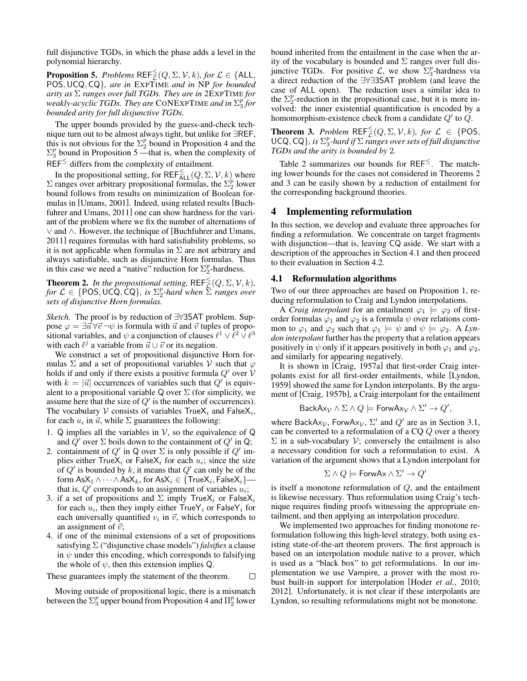full disjunctive TGDs, in which the phase adds a level in the polynomial hierarchy.

**Proposition 5.** *Problems*  $REF_{\mathcal{L}}^{\leq}(Q,\Sigma,\mathcal{V},k)$ *, for*  $\mathcal{L} \in \{ALL,$ POS,UCQ, CQ}*, are in* EXPTIME *and in* NP *for bounded arity as* Σ *ranges over full TGDs. They are in* 2EXPTIME *for weakly-acyclic TGDs. They are* CONEXPTIME *and in* Σ p 3 *for bounded arity for full disjunctive TGDs.*

The upper bounds provided by the guess-and-check technique turn out to be almost always tight, but unlike for ∃REF, this is not obvious for the  $\Sigma_2^p$  bound in Proposition 4 and the  $\Sigma_3^p$  bound in Proposition 5 —that is, when the complexity of  $REF^{\leq}$  differs from the complexity of entailment.

In the propositional setting, for REF $\leqq_{\text{ALL}}(Q, \Sigma, \mathcal{V}, k)$  where  $\Sigma$  ranges over arbitrary propositional formulas, the  $\Sigma_2^p$  lower bound follows from results on minimization of Boolean formulas in [Umans, 2001]. Indeed, using related results [Buchfuhrer and Umans, 2011] one can show hardness for the variant of the problem where we fix the number of alternations of ∨ and ∧. However, the technique of [Buchfuhrer and Umans, 2011] requires formulas with hard satisfiability problems, so it is not applicable when formulas in  $\Sigma$  are not arbitrary and always satisfiable, such as disjunctive Horn formulas. Thus in this case we need a "native" reduction for  $\Sigma_2^p$ -hardness.

**Theorem 2.** In the propositional setting,  $\mathsf{REF}_{\mathcal{L}}^{\leq}(Q, \Sigma, \mathcal{V}, k)$ ,  $f \circ f \in \{POS, UCQ, \overline{CQ}\}, \text{ is } \Sigma_2^p \text{-}hard when \overline{\Sigma} \text{ ranges over}$ *sets of disjunctive Horn formulas.*

*Sketch.* The proof is by reduction of ∃∀3SAT problem. Suppose  $\varphi = \exists \vec{u} \forall \vec{v} \neg \psi$  is formula with  $\vec{u}$  and  $\vec{v}$  tuples of propositional variables, and  $\psi$  a conjunction of clauses  $\ell^1 \vee \ell^2 \vee \ell^3$ with each  $\ell^j$  a variable from  $\vec{u} \cup \vec{v}$  or its negation.

We construct a set of propositional disjunctive Horn formulas  $\Sigma$  and a set of propositional variables V such that  $\varphi$ holds if and only if there exists a positive formula  $Q'$  over  $V$ with  $k = |\vec{u}|$  occurrences of variables such that  $Q'$  is equivalent to a propositional variable Q over  $\Sigma$  (for simplicity, we assume here that the size of  $Q'$  is the number of occurrences). The vocabulary V consists of variables  $TrueX_i$  and  $FalseX_i$ , for each  $u_i$  in  $\vec{u}$ , while  $\Sigma$  guarantees the following:

- 1.  $\dot{Q}$  implies all the variables in  $V$ , so the equivalence of  $\dot{Q}$ and  $\hat{Q}'$  over  $\Sigma$  boils down to the containment of  $Q'$  in Q;
- 2. containment of  $Q'$  in Q over  $\Sigma$  is only possible if  $Q'$  implies either  $TrueX_i$  or  $FalseX_i$  for each  $u_i$ ; since the size of  $Q'$  is bounded by k, it means that  $Q'$  can only be of the  $\mathsf{form}\:\mathsf{AsX}_1 \wedge \cdots \wedge \mathsf{AsX}_k, \mathsf{for}\:\mathsf{AsX}_i \in \{\mathsf{TrueX}_i, \mathsf{FalseX}_i\}$  that is,  $Q'$  corresponds to an assignment of variables  $u_i$ ;
- 3. if a set of propositions and  $\Sigma$  imply TrueX<sub>i</sub> or FalseX<sub>i</sub> for each  $u_i$ , then they imply either  $TrueY_i$  or  $FalseY_i$  for each universally quantified  $v_i$  in  $\vec{v}$ , which corresponds to an assignment of  $\vec{v}$ ;
- 4. if one of the minimal extensions of a set of propositions satisfying Σ ("disjunctive chase models") *falsifies* a clause in  $\psi$  under this encoding, which corresponds to falsifying the whole of  $\psi$ , then this extension implies Q.

These guarantees imply the statement of the theorem.  $\Box$ 

Moving outside of propositional logic, there is a mismatch between the  $\Sigma_3^p$  upper bound from Proposition 4 and  $\Pi_2^p$  lower

bound inherited from the entailment in the case when the arity of the vocabulary is bounded and  $\Sigma$  ranges over full disjunctive TGDs. For positive  $\mathcal{L}$ , we show  $\Sigma_3^p$ -hardness via a direct reduction of the ∃∀∃3SAT problem (and leave the case of ALL open). The reduction uses a similar idea to the  $\Sigma_2^p$ -reduction in the propositional case, but it is more involved: the inner existential quantification is encoded by a homomorphism-existence check from a candidate  $Q'$  to  $\dot{Q}$ .

**Theorem 3.** Problem  $REF_{\mathcal{L}}^{\leq}(Q,\Sigma,\mathcal{V},k)$ , for  $\mathcal{L} \in \{POS,$ UCQ, CQ $\}$ , is  $\Sigma_3^p$ -hard if  $\Sigma$  *ranges over sets of full disjunctive TGDs and the arity is bounded by* 2*.*

Table 2 summarizes our bounds for  $REF^{\leq}$ . The matching lower bounds for the cases not considered in Theorems 2 and 3 can be easily shown by a reduction of entailment for the corresponding background theories.

### 4 Implementing reformulation

In this section, we develop and evaluate three approaches for finding a reformulation. We concentrate on target fragments with disjunction—that is, leaving CQ aside. We start with a description of the approaches in Section 4.1 and then proceed to their evaluation in Section 4.2.

#### 4.1 Reformulation algorithms

Two of our three approaches are based on Proposition 1, reducing reformulation to Craig and Lyndon interpolations.

A *Craig interpolant* for an entailment  $\varphi_1 \models \varphi_2$  of firstorder formulas  $\varphi_1$  and  $\varphi_2$  is a formula  $\psi$  over relations common to  $\varphi_1$  and  $\varphi_2$  such that  $\varphi_1 \models \psi$  and  $\psi \models \varphi_2$ . A *Lyndon interpolant* further has the property that a relation appears positively in  $\psi$  only if it appears positively in both  $\varphi_1$  and  $\varphi_2$ , and similarly for appearing negatively.

It is shown in [Craig, 1957a] that first-order Craig interpolants exist for all first-order entailments, while [Lyndon, 1959] showed the same for Lyndon interpolants. By the argument of [Craig, 1957b], a Craig interpolant for the entailment

$$
BackAx_{\mathcal{V}} \wedge \Sigma \wedge Q \models \mathsf{ForwAx}_{\mathcal{V}} \wedge \Sigma' \to Q',
$$

where BackAx<sub>V</sub>, ForwAx<sub>V</sub>,  $\Sigma'$  and  $Q'$  are as in Section 3.1, can be converted to a reformulation of a CQ Q over a theory  $\Sigma$  in a sub-vocabulary  $V$ ; conversely the entailment is also a necessary condition for such a reformulation to exist. A variation of the argument shows that a Lyndon interpolant for

$$
\Sigma \wedge Q \models \text{Forwardx} \wedge \Sigma' \to Q'
$$

is itself a monotone reformulation of  $Q$ , and the entailment is likewise necessary. Thus reformulation using Craig's technique requires finding proofs witnessing the appropriate entailment, and then applying an interpolation procedure.

We implemented two approaches for finding monotone reformulation following this high-level strategy, both using existing state-of-the-art theorem provers. The first approach is based on an interpolation module native to a prover, which is used as a "black box" to get reformulations. In our implementation we use Vampire, a prover with the most robust built-in support for interpolation [Hoder *et al.*, 2010; 2012]. Unfortunately, it is not clear if these interpolants are Lyndon, so resulting reformulations might not be monotone.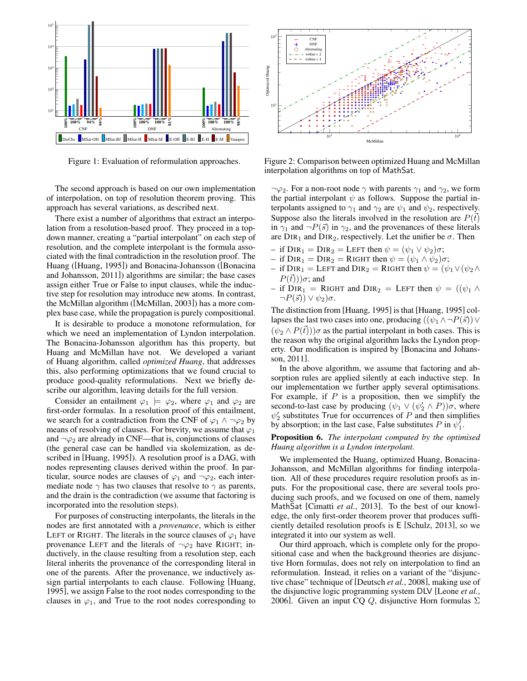

Figure 1: Evaluation of reformulation approaches.

The second approach is based on our own implementation of interpolation, on top of resolution theorem proving. This approach has several variations, as described next.

There exist a number of algorithms that extract an interpolation from a resolution-based proof. They proceed in a topdown manner, creating a "partial interpolant" on each step of resolution, and the complete interpolant is the formula associated with the final contradiction in the resolution proof. The Huang ([Huang, 1995]) and Bonacina-Johansson ([Bonacina and Johansson, 2011]) algorithms are similar; the base cases assign either True or False to input clauses, while the inductive step for resolution may introduce new atoms. In contrast, the McMillan algorithm ([McMillan, 2003]) has a more complex base case, while the propagation is purely compositional.

It is desirable to produce a monotone reformulation, for which we need an implementation of Lyndon interpolation. The Bonacina-Johansson algorithm has this property, but Huang and McMillan have not. We developed a variant of Huang algorithm, called *optimized Huang*, that addresses this, also performing optimizations that we found crucial to produce good-quality reformulations. Next we briefly describe our algorithm, leaving details for the full version.

Consider an entailment  $\varphi_1 \models \varphi_2$ , where  $\varphi_1$  and  $\varphi_2$  are first-order formulas. In a resolution proof of this entailment, we search for a contradiction from the CNF of  $\varphi_1 \wedge \neg \varphi_2$  by means of resolving of clauses. For brevity, we assume that  $\varphi_1$ and  $\neg \varphi_2$  are already in CNF—that is, conjunctions of clauses (the general case can be handled via skolemization, as described in [Huang, 1995]). A resolution proof is a DAG, with nodes representing clauses derived within the proof. In particular, source nodes are clauses of  $\varphi_1$  and  $\neg \varphi_2$ , each intermediate node  $\gamma$  has two clauses that resolve to  $\gamma$  as parents, and the drain is the contradiction (we assume that factoring is incorporated into the resolution steps).

For purposes of constructing interpolants, the literals in the nodes are first annotated with a *provenance*, which is either LEFT or RIGHT. The literals in the source clauses of  $\varphi_1$  have provenance LEFT and the literals of  $\neg \varphi_2$  have RIGHT; inductively, in the clause resulting from a resolution step, each literal inherits the provenance of the corresponding literal in one of the parents. After the provenance, we inductively assign partial interpolants to each clause. Following [Huang, 1995], we assign False to the root nodes corresponding to the clauses in  $\varphi_1$ , and True to the root nodes corresponding to



Figure 2: Comparison between optimized Huang and McMillan interpolation algorithms on top of MathSat.

 $\neg \varphi_2$ . For a non-root node  $\gamma$  with parents  $\gamma_1$  and  $\gamma_2$ , we form the partial interpolant  $\psi$  as follows. Suppose the partial interpolants assigned to  $\gamma_1$  and  $\gamma_2$  are  $\psi_1$  and  $\psi_2$ , respectively. Suppose also the literals involved in the resolution are  $P(\vec{t})$ in  $\gamma_1$  and  $\neg P(\vec{s})$  in  $\gamma_2$ , and the provenances of these literals are  $DIR_1$  and  $DIR_2$ , respectively. Let the unifier be  $\sigma$ . Then

- if  $\text{DIR}_1 = \text{DIR}_2 = \text{LEFT}$  then  $\psi = (\psi_1 \lor \psi_2)\sigma$ ;
- if  $\text{DIR}_1 = \text{DIR}_2 = \text{RIGHT}$  then  $\psi = (\psi_1 \wedge \psi_2)\sigma$ ;
- if  $\text{DIR}_1 = \text{LEFT}$  and  $\text{DIR}_2 = \text{RIGHT}$  then  $\psi = (\psi_1 \vee (\psi_2 \wedge$  $P(\vec{t}))\sigma$ ; and
- if  $\text{DIR}_1 = \text{RIGHT}$  and  $\text{DIR}_2 = \text{LEFT}$  then  $\psi = ((\psi_1 \wedge$  $\neg P(\vec{s}) \vee \psi_2 \circ \sigma.$

The distinction from [Huang, 1995] is that [Huang, 1995] collapses the last two cases into one, producing  $((\psi_1 \wedge \neg P(\vec{s})) \vee$  $(\psi_2 \wedge P(\vec{t}))\sigma$  as the partial interpolant in both cases. This is the reason why the original algorithm lacks the Lyndon property. Our modification is inspired by [Bonacina and Johansson, 2011].

In the above algorithm, we assume that factoring and absorption rules are applied silently at each inductive step. In our implementation we further apply several optimisations. For example, if  $P$  is a proposition, then we simplify the second-to-last case by producing  $(\psi_1 \lor (\psi_2' \land P))\sigma$ , where  $\psi_2'$  substitutes True for occurrences of P and then simplifies by absorption; in the last case, False substitutes P in  $\psi_1^{\dagger}$ .

#### Proposition 6. *The interpolant computed by the optimised Huang algorithm is a Lyndon interpolant.*

We implemented the Huang, optimized Huang, Bonacina-Johansson, and McMillan algorithms for finding interpolation. All of these procedures require resolution proofs as inputs. For the propositional case, there are several tools producing such proofs, and we focused on one of them, namely MathSat [Cimatti *et al.*, 2013]. To the best of our knowledge, the only first-order theorem prover that produces sufficiently detailed resolution proofs is E [Schulz, 2013], so we integrated it into our system as well.

Our third approach, which is complete only for the propositional case and when the background theories are disjunctive Horn formulas, does not rely on interpolation to find an reformulation. Instead, it relies on a variant of the "disjunctive chase" technique of [Deutsch *et al.*, 2008], making use of the disjunctive logic programming system DLV [Leone *et al.*, 2006]. Given an input CQ Q, disjunctive Horn formulas  $\Sigma$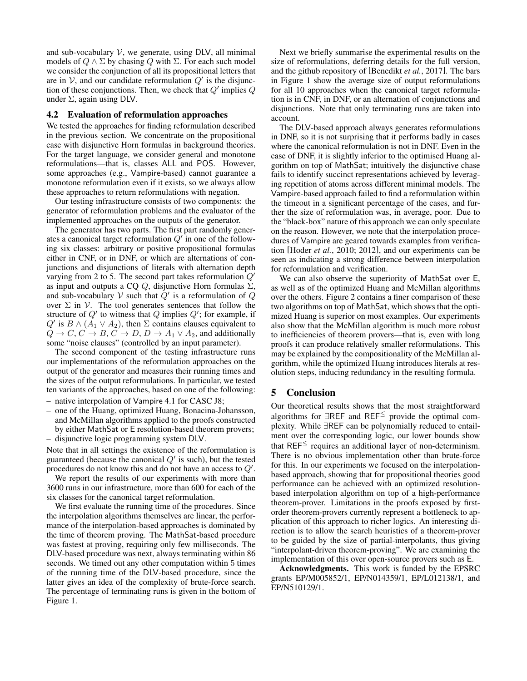and sub-vocabulary  $V$ , we generate, using DLV, all minimal models of  $Q \wedge \Sigma$  by chasing  $Q$  with  $\Sigma$ . For each such model we consider the conjunction of all its propositional letters that are in  $V$ , and our candidate reformulation  $Q'$  is the disjunction of these conjunctions. Then, we check that  $Q'$  implies  $Q$ under  $\Sigma$ , again using DLV.

### 4.2 Evaluation of reformulation approaches

We tested the approaches for finding reformulation described in the previous section. We concentrate on the propositional case with disjunctive Horn formulas in background theories. For the target language, we consider general and monotone reformulations—that is, classes ALL and POS. However, some approaches (e.g., Vampire-based) cannot guarantee a monotone reformulation even if it exists, so we always allow these approaches to return reformulations with negation.

Our testing infrastructure consists of two components: the generator of reformulation problems and the evaluator of the implemented approaches on the outputs of the generator.

The generator has two parts. The first part randomly generates a canonical target reformulation  $Q'$  in one of the following six classes: arbitrary or positive propositional formulas either in CNF, or in DNF, or which are alternations of conjunctions and disjunctions of literals with alternation depth varying from 2 to 5. The second part takes reformulation  $Q'$ as input and outputs a CQ  $Q$ , disjunctive Horn formulas  $\Sigma$ , and sub-vocabulary V such that  $Q'$  is a reformulation of Q over  $\Sigma$  in  $V$ . The tool generates sentences that follow the structure of  $Q'$  to witness that  $Q$  implies  $Q'$ ; for example, if Q' is  $B \wedge (A_1 \vee A_2)$ , then  $\Sigma$  contains clauses equivalent to  $Q \to C$ ,  $C \to B$ ,  $C \to D$ ,  $D \to A_1 \vee A_2$ , and additionally some "noise clauses" (controlled by an input parameter).

The second component of the testing infrastructure runs our implementations of the reformulation approaches on the output of the generator and measures their running times and the sizes of the output reformulations. In particular, we tested ten variants of the approaches, based on one of the following:

- native interpolation of Vampire 4.1 for CASC J8;
- one of the Huang, optimized Huang, Bonacina-Johansson, and McMillan algorithms applied to the proofs constructed by either MathSat or E resolution-based theorem provers;
- disjunctive logic programming system DLV.

Note that in all settings the existence of the reformulation is guaranteed (because the canonical  $Q'$  is such), but the tested procedures do not know this and do not have an access to  $Q'$ .

We report the results of our experiments with more than 3600 runs in our infrastructure, more than 600 for each of the six classes for the canonical target reformulation.

We first evaluate the running time of the procedures. Since the interpolation algorithms themselves are linear, the performance of the interpolation-based approaches is dominated by the time of theorem proving. The MathSat-based procedure was fastest at proving, requiring only few milliseconds. The DLV-based procedure was next, always terminating within 86 seconds. We timed out any other computation within 5 times of the running time of the DLV-based procedure, since the latter gives an idea of the complexity of brute-force search. The percentage of terminating runs is given in the bottom of Figure 1.

Next we briefly summarise the experimental results on the size of reformulations, deferring details for the full version, and the github repository of [Benedikt *et al.*, 2017]. The bars in Figure 1 show the average size of output reformulations for all 10 approaches when the canonical target reformulation is in CNF, in DNF, or an alternation of conjunctions and disjunctions. Note that only terminating runs are taken into account.

The DLV-based approach always generates reformulations in DNF, so it is not surprising that it performs badly in cases where the canonical reformulation is not in DNF. Even in the case of DNF, it is slightly inferior to the optimised Huang algorithm on top of MathSat; intuitively the disjunctive chase fails to identify succinct representations achieved by leveraging repetition of atoms across different minimal models. The Vampire-based approach failed to find a reformulation within the timeout in a significant percentage of the cases, and further the size of reformulation was, in average, poor. Due to the "black-box" nature of this approach we can only speculate on the reason. However, we note that the interpolation procedures of Vampire are geared towards examples from verification [Hoder *et al.*, 2010; 2012], and our experiments can be seen as indicating a strong difference between interpolation for reformulation and verification.

We can also observe the superiority of MathSat over E, as well as of the optimized Huang and McMillan algorithms over the others. Figure 2 contains a finer comparison of these two algorithms on top of MathSat, which shows that the optimized Huang is superior on most examples. Our experiments also show that the McMillan algorithm is much more robust to inefficiencies of theorem provers—that is, even with long proofs it can produce relatively smaller reformulations. This may be explained by the compositionality of the McMillan algorithm, while the optimized Huang introduces literals at resolution steps, inducing redundancy in the resulting formula.

# 5 Conclusion

Our theoretical results shows that the most straightforward algorithms for ∃REF and REF<sup>≤</sup> provide the optimal complexity. While ∃REF can be polynomially reduced to entailment over the corresponding logic, our lower bounds show that  $REF^{\leq}$  requires an additional layer of non-determinism. There is no obvious implementation other than brute-force for this. In our experiments we focused on the interpolationbased approach, showing that for propositional theories good performance can be achieved with an optimized resolutionbased interpolation algorithm on top of a high-performance theorem-prover. Limitations in the proofs exposed by firstorder theorem-provers currently represent a bottleneck to application of this approach to richer logics. An interesting direction is to allow the search heuristics of a theorem-prover to be guided by the size of partial-interpolants, thus giving "interpolant-driven theorem-proving". We are examining the implementation of this over open-source provers such as E.

Acknowledgments. This work is funded by the EPSRC grants EP/M005852/1, EP/N014359/1, EP/L012138/1, and EP/N510129/1.